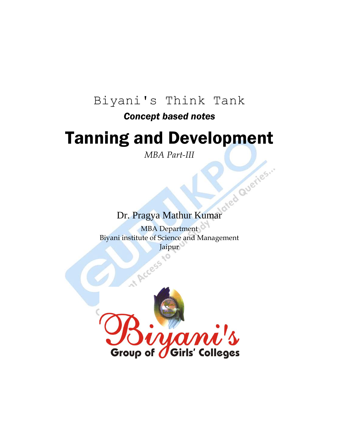# Biyani's Think Tank

# *Concept based notes*

# Tanning and Development

*MBA Part-III*

# Dr. Pragya Mathur Kumar

MBA Department Biyani institute of Science and Management Jaipur

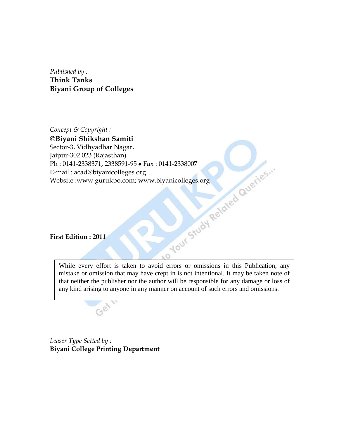*Published by :* **Think Tanks Biyani Group of Colleges**

*Concept & Copyright :* **Biyani Shikshan Samiti** Sector-3, Vidhyadhar Nagar, Jaipur-302 023 (Rajasthan) Ph : 0141-2338371, 2338591-95 • Fax : 0141-2338007<br>E-mail : acad@biyanicolleges.org<br>Website :www.gurukpo.com; www.biyanicolleges.org<br>First Edition : 2011 E-mail : acad@biyanicolleges.org Website :www.gurukpo.com; www.biyanicolleges.org

**First Edition : 2011**

While every effort is taken to avoid errors or omissions in this Publication, any mistake or omission that may have crept in is not intentional. It may be taken note of that neither the publisher nor the author will be responsible for any damage or loss of any kind arising to anyone in any manner on account of such errors and omissions.

 $\circ$ 

*Leaser Type Setted by :* **Biyani College Printing Department**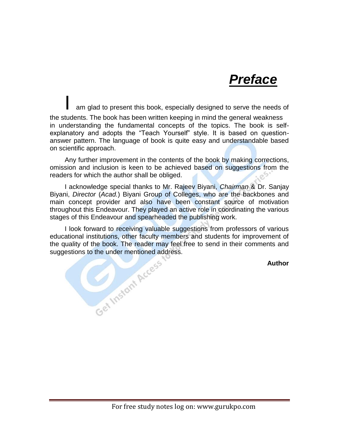

am glad to present this book, especially designed to serve the needs of the students. The book has been written keeping in mind the general weakness in understanding the fundamental concepts of the topics. The book is selfexplanatory and adopts the "Teach Yourself" style. It is based on questionanswer pattern. The language of book is quite easy and understandable based on scientific approach.

Any further improvement in the contents of the book by making corrections, omission and inclusion is keen to be achieved based on suggestions from the readers for which the author shall be obliged.

I acknowledge special thanks to Mr. Rajeev Biyani, *Chairman* & Dr. Sanjay Biyani, *Director* (*Acad.*) Biyani Group of Colleges, who are the backbones and main concept provider and also have been constant source of motivation throughout this Endeavour. They played an active role in coordinating the various stages of this Endeavour and spearheaded the publishing work.

I look forward to receiving valuable suggestions from professors of various educational institutions, other faculty members and students for improvement of the quality of the book. The reader may feel free to send in their comments and<br>suggestions to the under mentioned address.<br>Author suggestions to the under mentioned address.

**Author**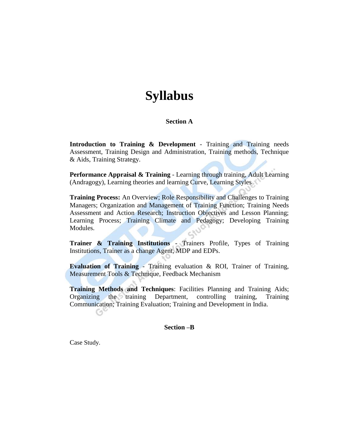# **Syllabus**

# **Section A**

**Introduction to Training & Development** - Training and Training needs Assessment, Training Design and Administration, Training methods, Technique & Aids, Training Strategy.

**Performance Appraisal & Training** - Learning through training, Adult Learning (Andragogy), Learning theories and learning Curve, Learning Styles

**Training Process:** An Overview; Role Responsibility and Challenges to Training Managers; Organization and Management of Training Function; Training Needs Assessment and Action Research; Instruction Objectives and Lesson Planning; Learning Process; Training Climate and Pedagogy; Developing Training Modules.

**Trainer & Training Institutions** - Trainers Profile, Types of Training Institutions, Trainer as a change Agent, MDP and EDPs.

**Evaluation of Training** - Training evaluation & ROI, Trainer of Training, Measurement Tools & Technique, Feedback Mechanism

**Training Methods and Techniques**: Facilities Planning and Training Aids; Organizing the training Department, controlling training, Training Communication; Training Evaluation; Training and Development in India. CA

**Section –B** 

Case Study.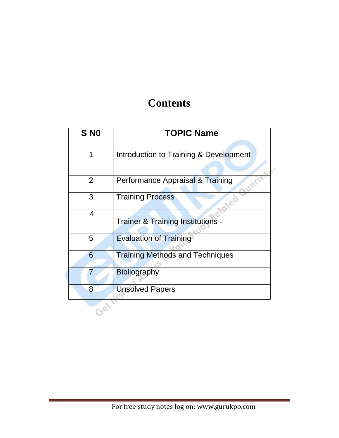# **Contents**

| S <sub>NO</sub> | <b>TOPIC Name</b>                            |  |
|-----------------|----------------------------------------------|--|
| 1               | Introduction to Training & Development       |  |
|                 |                                              |  |
| 2               | Performance Appraisal & Training             |  |
| 3               | <b>Training Process</b>                      |  |
| $\overline{4}$  | <b>Trainer &amp; Training Institutions -</b> |  |
| 5               | <b>Evaluation of Training</b>                |  |
| 6               | <b>Training Methods and Techniques</b>       |  |
| 7               | <b>Bibliography</b>                          |  |
| 8               | <b>Unsolved Papers</b>                       |  |
|                 |                                              |  |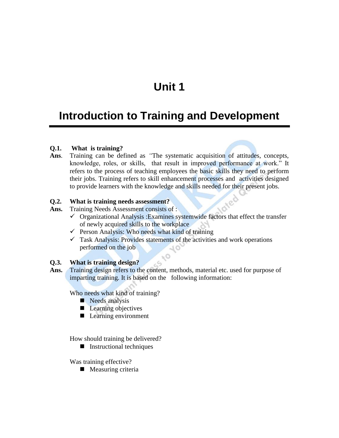# **Unit 1**

# **Introduction to Training and Development**

# **Q.1. What is training?**

**Ans**. Training can be defined as *"*The systematic acquisition of attitudes, concepts, knowledge, roles, or skills, that result in improved performance at work." It refers to the process of teaching employees the basic skills they need to perform their jobs. Training refers to skill enhancement processes and activities designed to provide learners with the knowledge and skills needed for their present jobs.

#### **Q.2. What is training needs assessment?**

Ans. Training Needs Assessment consists of :

 $\checkmark$  Organizational Analysis : Examines systemwide factors that effect the transfer of newly acquired skills to the workplace

ied

- $\checkmark$  Person Analysis: Who needs what kind of training
- $\checkmark$  Task Analysis: Provides statements of the activities and work operations performed on the job

# **Q.3. What is training design?**

Ans. Training design refers to the content, methods, material etc. used for purpose of imparting training. It is based on the following information:

Who needs what kind of training?

- Needs analysis
- **Learning objectives**
- Learning environment

How should training be delivered?

**Instructional techniques** 

Was training effective?

**Measuring criteria**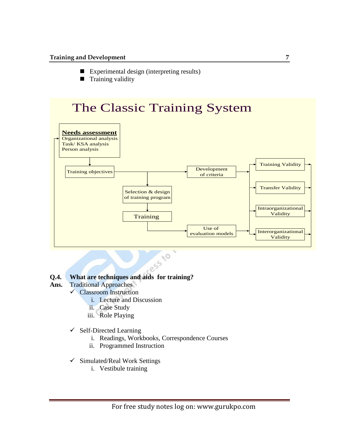- Experimental design (interpreting results)
- **Training validity**



- **Ans.** Traditional Approaches
	- Classroom Instruction
		- i. Lecture and Discussion
		- ii. Case Study
		- iii. Role Playing
	- $\checkmark$  Self-Directed Learning
		- i. Readings, Workbooks, Correspondence Courses
		- ii. Programmed Instruction
	- $\checkmark$  Simulated/Real Work Settings
		- i. Vestibule training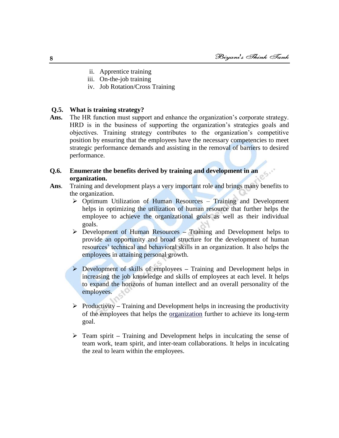- ii. Apprentice training
- iii. On-the-job training
- iv. Job Rotation/Cross Training

# **Q.5. What is training strategy?**

Ans. The HR function must support and enhance the organization's corporate strategy. HRD is in the business of supporting the organization's strategies goals and objectives. Training strategy contributes to the organization's competitive position by ensuring that the employees have the necessary competencies to meet strategic performance demands and assisting in the removal of barriers to desired performance.

# **Q.6. Enumerate the benefits derived by training and development in an organization.**

- **Ans**. Training and development plays a very important role and brings many benefits to the organization.
	- $\triangleright$  Optimum Utilization of Human Resources Training and Development helps in optimizing the utilization of human resource that further helps the employee to achieve the organizational goals as well as their individual goals.
	- Development of Human Resources **–** Training and Development helps to provide an opportunity and broad structure for the development of human resources' technical and behavioral skills in an organization. It also helps the employees in attaining personal growth.
	- Development of skills of employees **–** Training and Development helps in increasing the job knowledge and skills of employees at each level. It helps to expand the horizons of human intellect and an overall personality of the employees.
	- Productivity **–** Training and Development helps in increasing the productivity of the employees that helps the [organization](http://traininganddevelopment.naukrihub.com/organization.html) further to achieve its long-term goal.
	- Team spirit **–** Training and Development helps in inculcating the sense of team work, team spirit, and inter-team collaborations. It helps in inculcating the zeal to learn within the employees.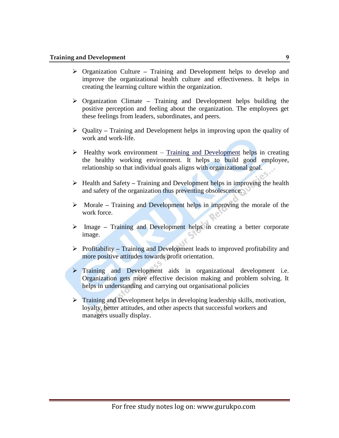- Organization Culture **–** Training and Development helps to develop and improve the organizational health culture and effectiveness. It helps in creating the learning culture within the organization.
- Organization Climate **–** Training and Development helps building the positive perception and feeling about the organization. The employees get these feelings from leaders, subordinates, and peers.
- Quality **–** Training and Development helps in improving upon the quality of work and work-life.
- $\triangleright$  Healthy work environment [Training and Development](http://traininganddevelopment.naukrihub.com/) helps in creating the healthy working environment. It helps to build good employee, relationship so that individual goals aligns with organizational goal.
- Health and Safety **–** Training and Development helps in improving the health and safety of the organization thus preventing obsolescence.
- Morale **–** Training and Development helps in improving the morale of the work force.
- Image **–** Training and Development helps in creating a better corporate image.
- Profitability **–** Training and Development leads to improved profitability and more positive attitudes towards profit orientation.
- **Training and Development aids in organizational development i.e.** Organization gets more effective decision making and problem solving. It helps in understanding and carrying out organisational policies
- $\triangleright$  Training and Development helps in developing leadership skills, motivation, loyalty, better attitudes, and other aspects that successful workers and managers usually display.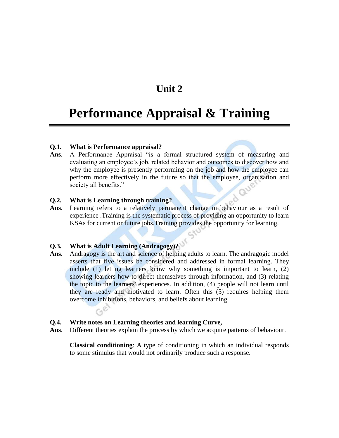# **Unit 2**

# **Performance Appraisal & Training**

#### **Q.1. What is Performance appraisal?**

Ans. A Performance Appraisal "is a formal structured system of measuring and evaluating an employee's job, related behavior and outcomes to discover how and why the employee is presently performing on the job and how the employee can perform more effectively in the future so that the employee, organization and society all benefits."

# **Q.2. What is Learning through training?**

**Ans**. Learning refers to a relatively permanent change in behaviour as a result of experience .Training is the systematic process of providing an opportunity to learn KSAs for current or future jobs.Training provides the opportunity for learning.

# **Q.3. What is Adult Learning (Andragogy)?**

 $G^{\mathcal{C}}$ 

**Ans**. Andragogy is the art and science of helping adults to learn. The andragogic model asserts that five issues be considered and addressed in formal learning. They include (1) letting learners know why something is important to learn, (2) showing learners how to direct themselves through information, and (3) relating the topic to the learners' experiences. In addition, (4) people will not learn until they are ready and motivated to learn. Often this (5) requires helping them overcome inhibitions, behaviors, and beliefs about learning.

# **Q.4. Write notes on Learning theories and learning Curve,**

**Ans**. Different theories explain the process by which we acquire patterns of behaviour.

**Classical conditioning**: A type of conditioning in which an individual responds to some stimulus that would not ordinarily produce such a response.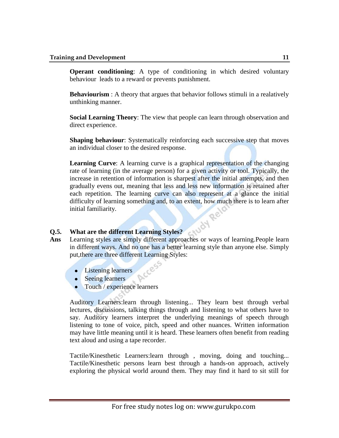**Operant conditioning**: A type of conditioning in which desired voluntary behaviour leads to a reward or prevents punishment.

**Behaviourism**: A theory that argues that behavior follows stimuli in a realatively unthinking manner.

**Social Learning Theory**: The view that people can learn through observation and direct experience.

**Shaping behaviour:** Systematically reinforcing each successive step that moves an individual closer to the desired response.

**Learning Curve**: A learning curve is a graphical representation of the changing rate of learning (in the average person) for a given activity or tool. Typically, the increase in retention of information is sharpest after the initial attempts, and then gradually evens out, meaning that less and less new information is retained after each repetition. The learning curve can also represent at a glance the initial difficulty of learning something and, to an extent, how much there is to learn after<br>initial familiarity.<br>What are the different Learning initial familiarity.

# **Q.5. What are the different Learning Styles?**

- **Ans** Learning styles are simply different approaches or ways of learning.People learn in different ways. And no one has a better learning style than anyone else. Simply put,there are three different Learning Styles:
	- Listening learners
	- Seeing learners
	- Touch / experience learners

Auditory Learners:learn through listening... They learn best through verbal lectures, discussions, talking things through and listening to what others have to say. Auditory learners interpret the underlying meanings of speech through listening to tone of voice, pitch, speed and other nuances. Written information may have little meaning until it is heard. These learners often benefit from reading text aloud and using a tape recorder.

Tactile/Kinesthetic Learners:learn through , moving, doing and touching... Tactile/Kinesthetic persons learn best through a hands-on approach, actively exploring the physical world around them. They may find it hard to sit still for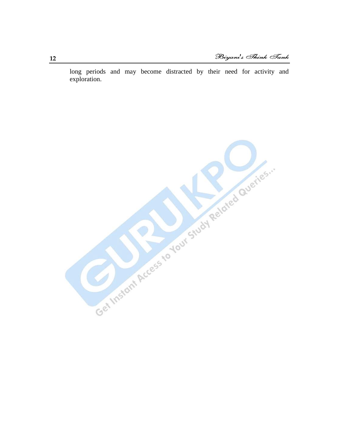long periods and may become distracted by their need for activity and exploration.

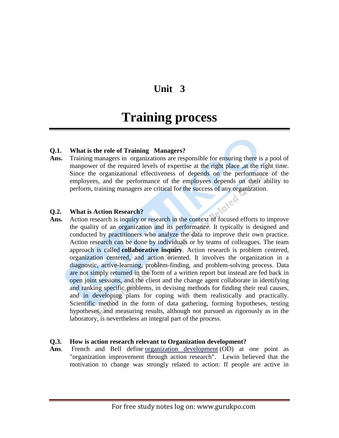# **Unit 3**

# **Training process**

# **Q.1. What is the role of Training Managers?**

Ans. Training managers in organizations are responsible for ensuring there is a pool of manpower of the required levels of expertise at the right place ,at the right time. Since the organizational effectiveness of depends on the performance of the employees, and the performance of the employees depends on their ability to perform, training managers are critical for the success of any organization. loted

# **Q.2. What is Action Research?**

Ans. Action research is inquiry or research in the context of focused efforts to improve the quality of an organization and its performance. It typically is designed and conducted by practitioners who analyze the data to improve their own practice. Action research can be done by individuals or by teams of colleagues. The team approach is called **collaborative inquiry***.* Action research is problem centered, organization centered, and action oriented. It involves the organization in a diagnostic, active-learning, problem-finding, and problem-solving process. Data are not simply returned in the form of a written report but instead are fed back in open joint sessions, and the client and the change agent collaborate in identifying and ranking specific problems, in devising methods for finding their real causes, and in developing plans for coping with them realistically and practically. Scientific method in the form of data gathering, forming hypotheses, testing hypotheses, and measuring results, although not pursued as rigorously as in the laboratory, is nevertheless an integral part of the process.

# **Q.3. How is action research relevant to Organization development?**

Ans. French and Bell define <u>[organization development](http://en.wikipedia.org/wiki/Organization_development)</u> (OD) at one point as "organization improvement through action research". Lewin believed that the motivation to change was strongly related to action: If people are active in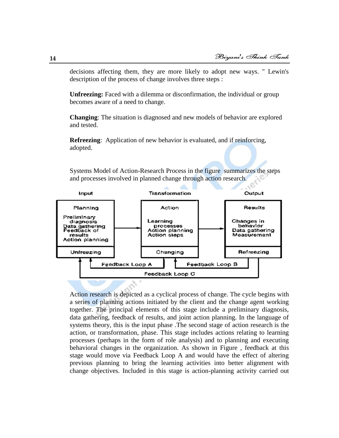decisions affecting them, they are more likely to adopt new ways. " Lewin's description of the process of change involves three steps :

**Unfreezing:** Faced with a dilemma or disconfirmation, the individual or group becomes aware of a need to change.

**Changing**: The situation is diagnosed and new models of behavior are explored and tested.

**Refreezing**: Application of new behavior is evaluated, and if reinforcing, adopted.

Systems Model of Action-Research Process in the figure summarizes the steps and processes involved in planned change through action research.



Action research is depicted as a cyclical process of change. The cycle begins with a series of planning actions initiated by the client and the change agent working together. The principal elements of this stage include a preliminary diagnosis, data gathering, feedback of results, and joint action planning. In the language of systems theory, this is the input phase .The second stage of action research is the action, or transformation, phase. This stage includes actions relating to learning processes (perhaps in the form of role analysis) and to planning and executing behavioral changes in the organization. As shown in Figure , feedback at this stage would move via Feedback Loop A and would have the effect of altering previous planning to bring the learning activities into better alignment with change objectives. Included in this stage is action-planning activity carried out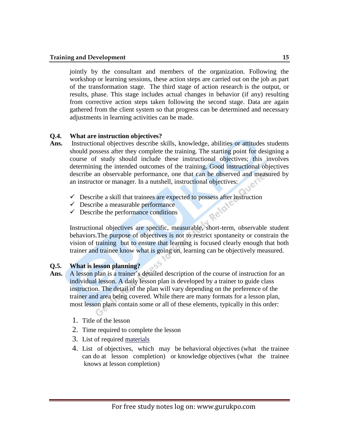#### **Training and Development 15** and the set of the set of the set of the set of the set of the set of the set of the set of the set of the set of the set of the set of the set of the set of the set of the set of the set of t

jointly by the consultant and members of the organization. Following the workshop or learning sessions, these action steps are carried out on the job as part of the transformation stage. The third stage of action research is the output, or results, phase. This stage includes actual changes in behavior (if any) resulting from corrective action steps taken following the second stage. Data are again gathered from the client system so that progress can be determined and necessary adjustments in learning activities can be made.

# **Q.4. What are instruction objectives?**

- **Ans.** Instructional objectives describe skills, knowledge, abilities or attitudes students should possess after they complete the training. The starting point for designing a course of study should include these instructional objectives; this involves determining the intended outcomes of the training. Good instructional objectives describe an observable performance, one that can be observed and measured by an instructor or manager. In a nutshell, instructional objectives:
	- $\checkmark$  Describe a skill that trainees are expected to possess after instruction
	- $\checkmark$  Describe a measurable performance
	- $\checkmark$  Describe the performance conditions

Instructional objectives are specific, measurable, short-term, observable student behaviors.The purpose of objectives is not to restrict spontaneity or constrain the vision of training but to ensure that learning is focused clearly enough that both trainer and trainee know what is going on, learning can be objectively measured.

# **Q.5. What is lesson planning?**

- Ans. **A** lesson plan is a trainer's detailed description of the course of instruction for an individual lesson. A daily lesson plan is developed by a trainer to guide class instruction. The detail of the plan will vary depending on the preference of the trainer and area being covered. While there are many formats for a lesson plan, most lesson plans contain some or all of these elements, typically in this order:
	- 1. Title of the lesson
	- 2. Time required to complete the lesson
	- 3. List of required [materials](http://en.wikipedia.org/wiki/Material)
	- 4. List of [objectives,](http://en.wikipedia.org/wiki/Objective_(goal)) which may be [behavioral](http://en.wikipedia.org/wiki/Behavioral) objectives (what the trainee can do at lesson completion) or [knowledge](http://en.wikipedia.org/wiki/Knowledge) objectives (what the trainee knows at lesson completion)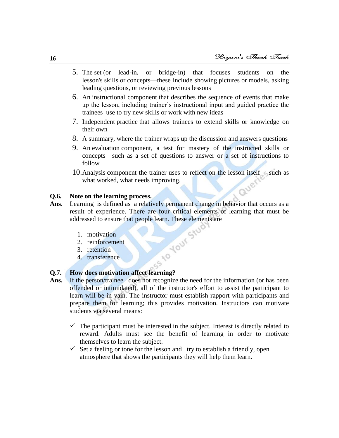- 5. The set (or lead-in, or bridge-in) that focuses students on the lesson's [skills](http://en.wikipedia.org/wiki/Skill) or concepts—these include showing [pictures](http://en.wikipedia.org/wiki/Picture) or [models,](http://en.wikipedia.org/wiki/Model_(physical)) asking leading [questions,](http://en.wikipedia.org/wiki/Question) or [reviewing](http://en.wikipedia.org/wiki/Memorization) previous lessons
- 6. An instructional component that describes the sequence of events that make up the lesson, including trainer's instructional input and guided practice the trainees use to try new skills or work with new ideas
- 7. Independent [practice](http://en.wikipedia.org/wiki/Practice_(learning_method)) that allows trainees to extend skills or knowledge on their own
- 8. A [summary,](http://en.wikipedia.org/wiki/Summary) where the trainer wraps up the discussion and answers questions
- 9. An [evaluation](http://en.wikipedia.org/wiki/Evaluation) component, a test for mastery of the instructed skills or concepts—such as a set of questions to answer or a set of instructions to follow
- 10.Analysis component the trainer uses to reflect on the lesson itself —such as what worked, what needs improving. Quer

# **Q.6. Note on the learning process.**

- **Ans**. Learning is defined as a relatively permanent change in behavior that occurs as a result of experience. There are four critical elements of learning that must be addressed to ensure that people learn. These elements are<br>
1. motivation<br>
2. reinforcement<br>
3. retention
	- 1. motivation
	- 2. reinforcement
	- 3. retention
	- 4. transference

# **Q.7. How does motivation affect learning?**

- Ans. If the person/trainee does not recognize the need for the information (or has been offended or intimidated), all of the instructor's effort to assist the participant to learn will be in vain. The instructor must establish rapport with participants and prepare them for learning; this provides motivation. Instructors can motivate students via several means:
	- $\checkmark$  The participant must be interested in the subject. Interest is directly related to reward. Adults must see the benefit of learning in order to motivate themselves to learn the subject.
	- $\checkmark$  Set a feeling or tone for the lesson and try to establish a friendly, open atmosphere that shows the participants they will help them learn.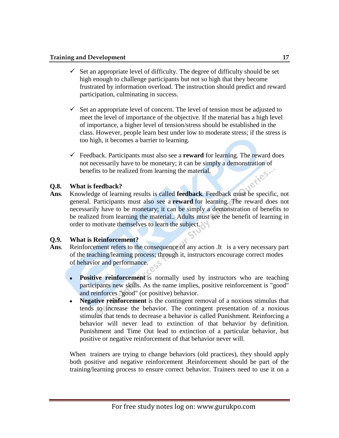- $\checkmark$  Set an appropriate level of difficulty. The degree of difficulty should be set high enough to challenge participants but not so high that they become frustrated by information overload. The instruction should predict and reward participation, culminating in success.
- $\checkmark$  Set an appropriate level of concern. The level of tension must be adjusted to meet the level of importance of the objective. If the material has a high level of importance, a higher level of tension/stress should be established in the class. However, people learn best under low to moderate stress; if the stress is too high, it becomes a barrier to learning.
- $\checkmark$  Feedback. Participants must also see a **reward** for learning. The reward does not necessarily have to be monetary; it can be simply a demonstration of benefits to be realized from learning the material. benefits to be realized from learning the material.

# **Q.8. What is feedback?**

**Ans***.* Knowledge of learning results is called **feedback***.* Feedback must be specific, not general. Participants must also see a **reward** for learning. The reward does not necessarily have to be monetary; it can be simply a demonstration of benefits to be realized from learning the material.. Adults must see the benefit of learning in order to motivate themselves to learn the subject.

# **Q.9. What is Reinforcement?**

- Ans. Reinforcement refers to the consequence of any action .It is a very necessary part of the teaching/learning process; through it, instructors encourage correct modes of behavior and performance.
	- **Positive reinforcement** is normally used by instructors who are teaching participants new skills. As the name implies, positive reinforcement is "good" and reinforces "good" (or positive) behavior.
	- $\bullet$ **Negative reinforcement** is the contingent removal of a noxious stimulus that tends to increase the behavior. The contingent presentation of a noxious stimulus that tends to decrease a behavior is called Punishment. Reinforcing a behavior will never lead to extinction of that behavior by definition. Punishment and Time Out lead to extinction of a particular behavior, but positive or negative reinforcement of that behavior never will.

When trainers are trying to change behaviors (old practices), they should apply both positive and negative reinforcement .Reinforcement should be part of the training/learning process to ensure correct behavior. Trainers need to use it on a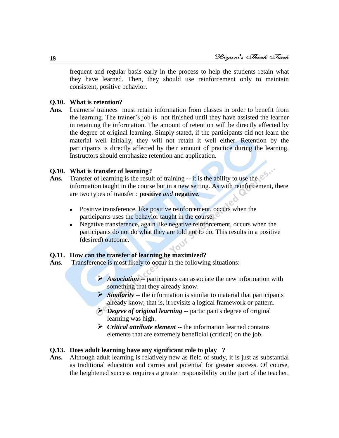frequent and regular basis early in the process to help the students retain what they have learned. Then, they should use reinforcement only to maintain consistent, positive behavior.

# **Q.10. What is retention?**

**Ans**. Learners/ trainees must retain information from classes in order to benefit from the learning. The trainer's job is not finished until they have assisted the learner in retaining the information. The amount of retention will be directly affected by the degree of original learning. Simply stated, if the participants did not learn the material well initially, they will not retain it well either. Retention by the participants is directly affected by their amount of practice during the learning. Instructors should emphasize retention and application.

# **Q.10. What is transfer of learning?**

- **Ans.** Transfer of learning is the result of training -- it is the ability to use the information taught in the course but in a new setting. As with reinforcement, there are two types of transfer : **positive** *and* **negative***.*
	- Positive transference, like positive reinforcement, occurs when the  $\bullet$ participants uses the behavior taught in the course.
	- Negative transference, again like negative reinforcement, occurs when the participants do not do what they are told not to do. This results in a positive (desired) outcome.

#### **Q.11. How can the transfer of learning be maximized?**

- **Ans**. Transference is most likely to occur in the following situations:
	- *Association* -- participants can associate the new information with something that they already know.
	- $\triangleright$  *Similarity* -- the information is similar to material that participants already know; that is, it revisits a logical framework or pattern.
	- *Degree of original learning* -- participant's degree of original learning was high.
	- *Critical attribute element* -- the information learned contains elements that are extremely beneficial (critical) on the job.

#### **Q.13. Does adult learning have any significant role to play ?**

**Ans.** Although adult learning is relatively new as field of study, it is just as substantial as traditional education and carries and potential for greater success. Of course, the heightened success requires a greater responsibility on the part of the teacher.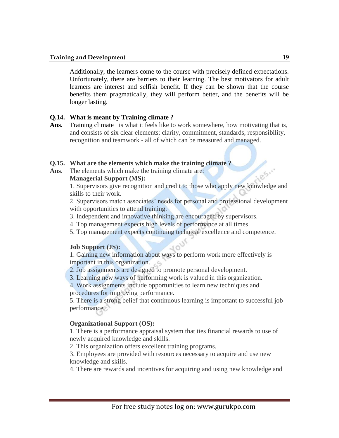Additionally, the learners come to the course with precisely defined expectations. Unfortunately, there are barriers to their learning. The best motivators for adult learners are interest and selfish benefit. If they can be shown that the course benefits them pragmatically, they will perform better, and the benefits will be longer lasting.

# **Q.14. What is meant by Training climate ?**

Ans. Training climate is what it feels like to work somewhere, how motivating that is, and consists of six clear elements; clarity, commitment, standards, responsibility, recognition and teamwork - all of which can be measured and managed.

# **Q.15. What are the elements which make the training climate ?**

**Ans**. The elements which make the training climate are:

# **Managerial Support (MS):**

1. Supervisors give recognition and credit to those who apply new knowledge and skills to their work.

2. Supervisors match associates' needs for personal and professional development with opportunities to attend training.

- 3. Independent and innovative thinking are encouraged by supervisors.
- 4. Top management expects high levels of performance at all times.
- 5. Top management expects continuing technical excellence and competence.

# **Job Support (JS):**

1. Gaining new information about ways to perform work more effectively is important in this organization.

- 2. Job assignments are designed to promote personal development.
- 3. Learning new ways of performing work is valued in this organization.

4. Work assignments include opportunities to learn new techniques and procedures for improving performance.

5. There is a strong belief that continuous learning is important to successful job performance.

# **Organizational Support (OS):**

1. There is a performance appraisal system that ties financial rewards to use of newly acquired knowledge and skills.

2. This organization offers excellent training programs.

3. Employees are provided with resources necessary to acquire and use new knowledge and skills.

4. There are rewards and incentives for acquiring and using new knowledge and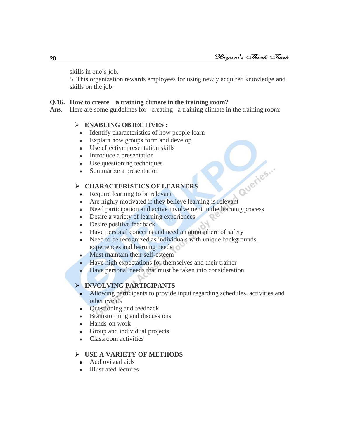skills in one's job.

5. This organization rewards employees for using newly acquired knowledge and skills on the job.

# **Q.16. How to create a training climate in the training room?**

Ans. Here are some guidelines for creating a training climate in the training room:

# **ENABLING OBJECTIVES :**

- Identify characteristics of how people learn  $\bullet$
- Explain how groups form and develop
- Use effective presentation skills
- Introduce a presentation  $\bullet$
- Use questioning techniques
- Summarize a presentation  $\bullet$

# **CHARACTERISTICS OF LEARNERS**

- Require learning to be relevant  $\bullet$
- HARACTERISTICS OF LEARNERS<br>Require learning to be relevant<br>Are highly motivated if they believe learning is relevant  $\bullet$
- $\bullet$ Need participation and active involvement in the learning process
- Desire a variety of learning experiences  $\bullet$
- $\bullet$ Desire positive feedback
- Have personal concerns and need an atmosphere of safety  $\bullet$
- Need to be recognized as individuals with unique backgrounds,  $\bullet$ experiences and learning needs
- Must maintain their self-esteem
- Have high expectations for themselves and their trainer
- Have personal needs that must be taken into consideration

# **INVOLVING PARTICIPANTS**

- Allowing participants to provide input regarding schedules, activities and other events
- Questioning and feedback  $\bullet$
- Brainstorming and discussions  $\bullet$
- Hands-on work
- Group and individual projects
- Classroom activities  $\bullet$

# **USE A VARIETY OF METHODS**

- Audiovisual aids
- Illustrated lectures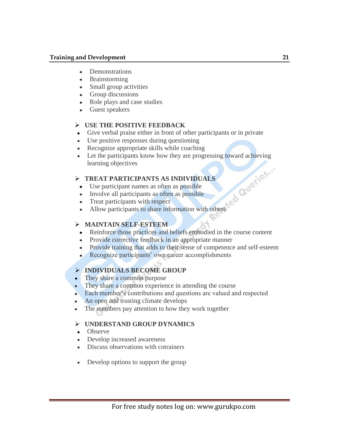- Demonstrations
- $\bullet$ Brainstorming
- Small group activities
- Group discussions  $\bullet$
- $\bullet$ Role plays and case studies
- Guest speakers

# **USE THE POSITIVE FEEDBACK**

- Give verbal praise either in front of other participants or in private
- Use positive responses during questioning
- Recognize appropriate skills while coaching
- Let the participants know how they are progressing toward achieving learning objectives

# **TREAT PARTICIPANTS AS INDIVIDUALS**

- Use participant names as often as possible
- Involve all participants as often as possible
- Treat participants with respect
- Allow participants to share information with others

# **MAINTAIN SELF-ESTEEM**

- Reinforce those practices and beliefs embodied in the course content
- Provide corrective feedback in an appropriate manner
- Provide training that adds to their sense of competence and self-esteem
- Recognize participants' own career accomplishments

# **INDIVIDUALS BECOME GROUP**

- They share a common purpose
- They share a common experience in attending the course
- Each member's contributions and questions are valued and respected
- An open and trusting climate develops
- The members pay attention to how they work together

# **UNDERSTAND GROUP DYNAMICS**

- Observe
- Develop increased awareness
- Discuss observations with cotrainers
- Develop options to support the group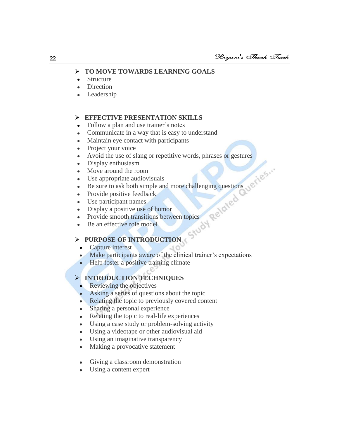# **TO MOVE TOWARDS LEARNING GOALS**

- Structure  $\bullet$
- Direction
- Leadership

# **EFFECTIVE PRESENTATION SKILLS**

- Follow a plan and use trainer's notes
- Communicate in a way that is easy to understand
- Maintain eye contact with participants
- Project your voice
- Avoid the use of slang or repetitive words, phrases or gestures
- Display enthusiasm
- Move around the room
- Use appropriate audiovisuals
- Be sure to ask both simple and more challenging questions
- Provide positive feedback
- Use participant names
- Display a positive use of humor
- Provide smooth transitions between topics<br>
Provide smooth transitions between topics<br>
PURPOSE
- Be an effective role model  $\bullet$

# **PURPOSE OF INTRODUCTION**

- Capture interest
- Make participants aware of the clinical trainer's expectations
- Help foster a positive training climate

# **INTRODUCTION TECHNIQUES**

- Reviewing the objectives
- Asking a series of questions about the topic  $\bullet$
- Relating the topic to previously covered content
- Sharing a personal experience  $\bullet$
- Relating the topic to real-life experiences  $\bullet$
- Using a case study or problem-solving activity
- Using a videotape or other audiovisual aid  $\bullet$
- Using an imaginative transparency  $\bullet$
- Making a provocative statement  $\bullet$
- Giving a classroom demonstration
- Using a content expert $\bullet$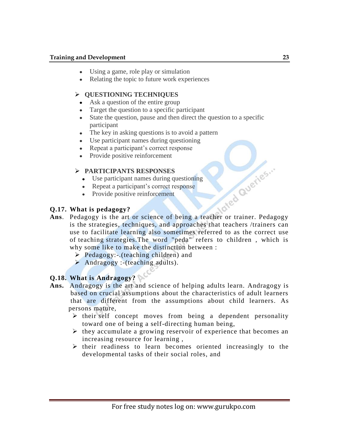# **Training and Development 23** 23

- Using a game, role play or simulation
- Relating the topic to future work experiences

# **QUESTIONING TECHNIQUES**

- Ask a question of the entire group
- Target the question to a specific participant
- State the question, pause and then direct the question to a specific  $\bullet$ participant
- The key in asking questions is to avoid a pattern
- Use participant names during questioning  $\bullet$
- Repeat a participant's correct response  $\bullet$
- Provide positive reinforcement  $\bullet$

# **PARTICIPANTS RESPONSES**

- Use participant names during questioning
- Repeat a participant's correct response
- Provide positive reinforcement

# **Q.17. What is pedagogy?**

- Ans. Pedagogy is the art or science of being a teacher or trainer. Pedagogy is the strategies, techniques, and approaches that teachers /trainers can use to facilitate learning also sometimes referred to as the correct use of teaching strategies.The word "peda" refers to children , which is why some like to make the distinction between :
	- $\triangleright$  Pedagogy:-.(teaching children) and
	- Andragogy :-(teaching adults).

# **Q.18. What is Andragogy?**

- **Ans.** Andragogy is the art and science of helping adults learn. Andragogy is based on crucial assumptions about the characteristics of adult learners that are different from the assumptions about child learners. As persons mature,
	- $\triangleright$  their self concept moves from being a dependent personality toward one of being a self-directing human being,
	- $\triangleright$  they accumulate a growing reservoir of experience that becomes an increasing resource for learning ,
	- $\triangleright$  their readiness to learn becomes oriented increasingly to the developmental tasks of their social roles, and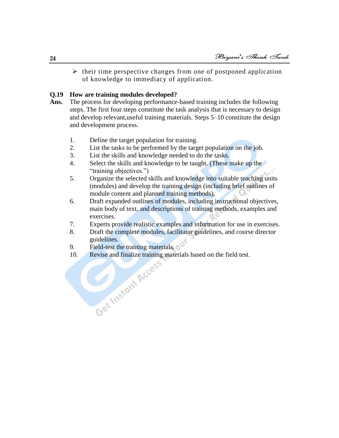$\triangleright$  their time perspective changes from one of postponed application of knowledge to immediacy of application.

# **Q.19 How are training modules developed?**

- **Ans.** The process for developing performance-based training includes the following steps. The first four steps constitute the task analysis that is necessary to design and develop relevant,useful training materials. Steps 5–10 constitute the design and development process.
	- 1. Define the target population for training.
	- 2. List the tasks to be performed by the target population on the job.
	- 3. List the skills and knowledge needed to do the tasks.
	- 4. Select the skills and knowledge to be taught. (These make up the "training objectives.")
	- 5. Organize the selected skills and knowledge into suitable teaching units (modules) and develop the training design (including brief outlines of module content and planned training methods).
	- 6. Draft expanded outlines of modules, including instructional objectives, main body of text, and descriptions of training methods, examples and exercises.
	- 7. Experts provide realistic examples and information for use in exercises.
	- 8. Draft the complete modules, facilitator guidelines, and course director guidelines.
	- 9. Field-test the training materials.
	- 10. Revise and finalize training materials based on the field test.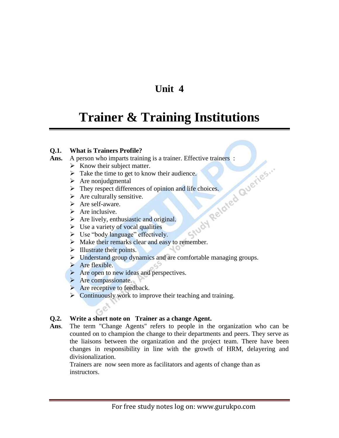# **Unit 4**

# **Trainer & Training Institutions**

# **Q.1. What is Trainers Profile?**

**Ans.** A person who imparts training is a trainer. Effective trainers :<br>  $\triangleright$  Know their subject matter.<br>  $\triangleright$  Take the time to get to know their audience.<br>  $\triangleright$  Are nonjudgmental<br>  $\triangleright$  They respect differences of

- $\triangleright$  Know their subject matter.
- $\triangleright$  Take the time to get to know their audience.
- $\triangleright$  Are nonjudgmental
- $\triangleright$  They respect differences of opinion and life choices.
- $\triangleright$  Are culturally sensitive.
- > Are self-aware.
- $\triangleright$  Are inclusive.
- $\triangleright$  Are lively, enthusiastic and original.
- $\triangleright$  Use a variety of vocal qualities
- $\triangleright$  Use "body language" effectively.
- $\triangleright$  Make their remarks clear and easy to remember.
- $\triangleright$  Illustrate their points.
- > Understand group dynamics and are comfortable managing groups.
- $\triangleright$  Are flexible.
- $\triangleright$  Are open to new ideas and perspectives.
- $\triangleright$  Are compassionate.

 $G^{\mathcal{C}}$ 

- $\triangleright$  Are receptive to feedback.
- $\triangleright$  Continuously work to improve their teaching and training.

# **Q.2. Write a short note on Trainer as a change Agent.**

**Ans**. The term "Change Agents" refers to people in the organization who can be counted on to champion the change to their departments and peers. They serve as the liaisons between the organization and the project team. There have been changes in responsibility in line with the growth of HRM, delayering and divisionalization.

Trainers are now seen more as facilitators and agents of change than as instructors.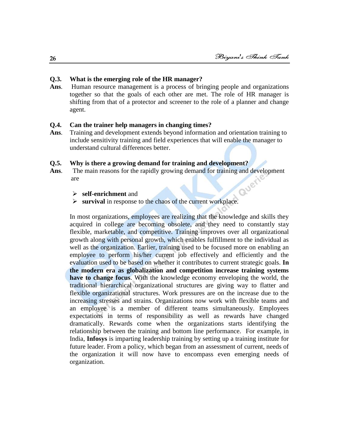#### **Q.3. What is the emerging role of the HR manager?**

**Ans**. Human resource management is a process of bringing people and organizations together so that the goals of each other are met. The role of HR manager is shifting from that of a protector and screener to the role of a planner and change agent.

#### **Q.4. Can the trainer help managers in changing times?**

**Ans**. Training and development extends beyond information and orientation training to include sensitivity training and field experiences that will enable the manager to understand cultural differences better.

# **Q.5. Why is there a growing demand for training and development?**

- Ans. The main reasons for the rapidly growing demand for training and development are<br>  $\triangleright$  **self-enrichment** and are
	- **self-enrichment** and
	- **survival** in response to the chaos of the current workplace.

In most organizations, employees are realizing that the knowledge and skills they acquired in college are becoming obsolete, and they need to constantly stay flexible, marketable, and competitive. Training improves over all organizational growth along with personal growth, which enables fulfillment to the individual as well as the organization. Earlier, training used to be focused more on enabling an employee to perform his/her current job effectively and efficiently and the evaluation used to be based on whether it contributes to current strategic goals. **In the modern era as globalization and competition increase training systems have to change focus**. With the knowledge economy enveloping the world, the traditional hierarchical organizational structures are giving way to flatter and flexible organizational structures. Work pressures are on the increase due to the increasing stresses and strains. Organizations now work with flexible teams and an employee is a member of different teams simultaneously. Employees expectations in terms of responsibility as well as rewards have changed dramatically. Rewards come when the organizations starts identifying the relationship between the training and bottom line performance. For example, in India, **Infosys** is imparting leadership training by setting up a training institute for future leader. From a policy, which began from an assessment of current, needs of the organization it will now have to encompass even emerging needs of organization.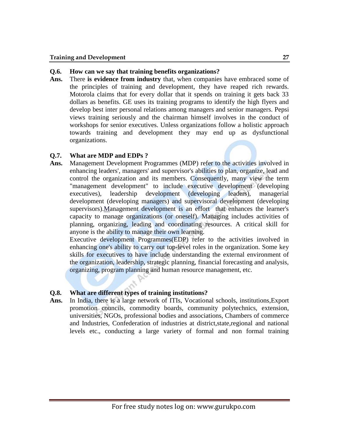# **Q.6. How can we say that training benefits organizations?**

**Ans.** There **is evidence from industry** that, when companies have embraced some of the principles of training and development, they have reaped rich rewards. Motorola claims that for every dollar that it spends on training it gets back 33 dollars as benefits. GE uses its training programs to identify the high flyers and develop best inter personal relations among managers and senior managers. Pepsi views training seriously and the chairman himself involves in the conduct of workshops for senior executives. Unless organizations follow a holistic approach towards training and development they may end up as dysfunctional organizations.

# **Q.7. What are MDP and EDPs ?**

**Ans.** Management Development Programmes (MDP) refer to the activities involved in enhancing leaders', managers' and supervisor's abilities to plan, organize, lead and control the organization and its members. Consequently, many view the term "management development" to include executive development (developing executives), leadership development (developing leaders), managerial development (developing managers) and supervisoral development (developing supervisors).Management development is an effort that enhances the learner's capacity to manage organizations (or oneself). Managing includes activities of planning, organizing, leading and coordinating resources. A critical skill for anyone is the ability to manage their own learning.

Executive development Programmes(EDP) refer to the activities involved in enhancing one's ability to carry out top-level roles in the organization. Some key skills for executives to have include understanding the external environment of the organization, leadership, strategic planning, financial forecasting and analysis, organizing, program planning and human resource management, etc.

# **Q.8. What are different types of training institutions?**

**Ans.** In India, there is a large network of ITIs, Vocational schools, institutions,Export promotion councils, commodity boards, community polytechnics, extension, universities, NGOs, professional bodies and associations, Chambers of commerce and Industries, Confederation of industries at district,state,regional and national levels etc., conducting a large variety of formal and non formal training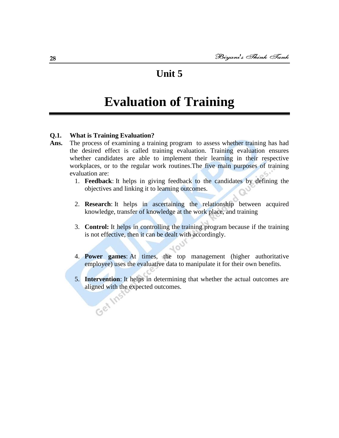# **Unit 5**

# **Evaluation of Training**

# **Q.1. What is Training Evaluation?**

- **Ans.** The process of examining a training program to assess whether training has had the desired effect is called training evaluation. Training evaluation ensures whether candidates are able to implement their learning in their respective workplaces, or to the regular work routines.The five main purposes of training evaluation are:
	- 1. **Feedback**: It helps in giving feedback to the candidates by defining the objectives and linking it to learning outcomes.
	- 2. **Research**: It helps in ascertaining the relationship between acquired knowledge, transfer of knowledge at the work place, and training
	- 3. **Control:** It helps in controlling the training program because if the training is not effective, then it can be dealt with accordingly.
	- 4. **Power games**: At times, the top management (higher authoritative employee) uses the evaluative data to manipulate it for their own benefits.
	- 5. **Intervention**: It helps in determining that whether the actual outcomes are aligned with the expected outcomes.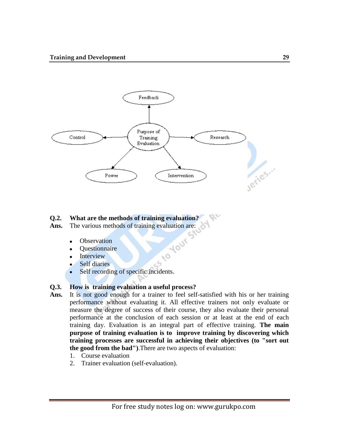

# **Q.2. What are the methods of training evaluation?**<br> **Ans.** The various methods of training evaluation are:<br>
• Observation<br>
• Questionnaire

Ans. The various methods of training evaluation are:

- **Observation**  $\bullet$
- **Ouestionnaire**  $\bullet$
- Interview  $\bullet$
- Self diaries  $\bullet$
- Self recording of specific incidents.  $\bullet$

# **Q.3. How is training evaluation a useful process?**

**Ans.** It is not good enough for a trainer to feel self-satisfied with his or her training performance without evaluating it. All effective trainers not only evaluate or measure the degree of success of their course, they also evaluate their personal performance at the conclusion of each session or at least at the end of each training day. Evaluation is an integral part of effective training. **The main purpose of training evaluation is to improve training by discovering which training processes are successful in achieving their objectives (to "sort out the good from the bad")**.There are two aspects of evaluation:

**PO** 

 $-5$ 

- 1. Course evaluation
- 2. Trainer evaluation (self-evaluation).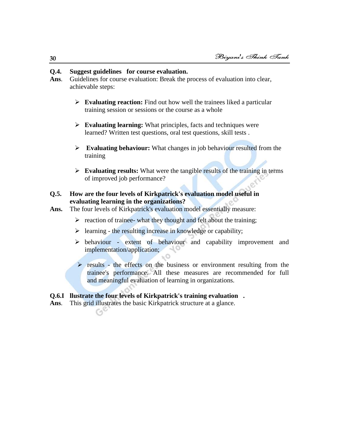# **Q.4. Suggest guidelines for course evaluation.**

- **Ans**. Guidelines for course evaluation: Break the process of evaluation into clear, achievable steps:
	- **Evaluating reaction:** Find out how well the trainees liked a particular training session or sessions or the course as a whole
	- **Evaluating learning:** What principles, facts and techniques were learned? Written test questions, oral test questions, skill tests .
	- **Evaluating behaviour:** What changes in job behaviour resulted from the training
	- **Evaluating results:** What were the tangible results of the training in terms of improved job performance?

# **Q.5. How are the four levels of Kirkpatrick's evaluation model useful in evaluating learning in the organizations?**

- Ans. The four levels of Kirkpatrick's evaluation model essentially measure:
	- $\triangleright$  reaction of trainee- what they thought and felt about the training;

- 0

- $\triangleright$  learning the resulting increase in knowledge or capability;
- $\triangleright$  behaviour extent of behaviour and capability improvement and implementation/application;
- $\triangleright$  results the effects on the business or environment resulting from the trainee's performance. All these measures are recommended for full and meaningful evaluation of learning in organizations.

# **Q.6.I llustrate the four levels of Kirkpatrick's training evaluation .**

**Ans**. This grid illustrates the basic Kirkpatrick structure at a glance.

**30**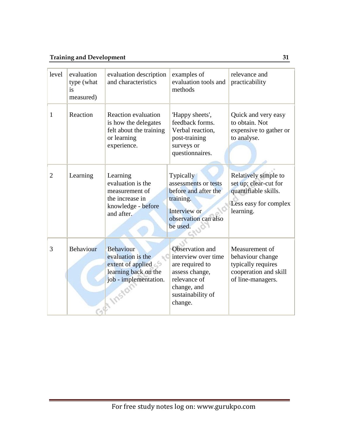# **Training and Development 31**

| level          | evaluation<br>type (what<br>is<br>measured) | evaluation description<br>and characteristics                                                                               | examples of<br>evaluation tools and<br>methods                                                                                             | relevance and<br>practicability                                                                             |
|----------------|---------------------------------------------|-----------------------------------------------------------------------------------------------------------------------------|--------------------------------------------------------------------------------------------------------------------------------------------|-------------------------------------------------------------------------------------------------------------|
| 1              | Reaction                                    | <b>Reaction evaluation</b><br>is how the delegates<br>felt about the training<br>or learning<br>experience.                 | 'Happy sheets',<br>feedback forms.<br>Verbal reaction,<br>post-training<br>surveys or<br>questionnaires.                                   | Quick and very easy<br>to obtain. Not<br>expensive to gather or<br>to analyse.                              |
| $\overline{2}$ | Learning                                    | Learning<br>evaluation is the<br>measurement of<br>the increase in<br>knowledge - before<br>and after.                      | <b>Typically</b><br>assessments or tests<br>before and after the<br>training.<br>Interview or<br>observation can also<br>be used.          | Relatively simple to<br>set up; clear-cut for<br>quantifiable skills.<br>Less easy for complex<br>learning. |
| 3              | Behaviour                                   | <b>Behaviour</b><br>evaluation is the<br>extent of applied<br>learning back on the<br>job - implementation.<br><b>ITOSH</b> | Observation and<br>interview over time<br>are required to<br>assess change,<br>relevance of<br>change, and<br>sustainability of<br>change. | Measurement of<br>behaviour change<br>typically requires<br>cooperation and skill<br>of line-managers.      |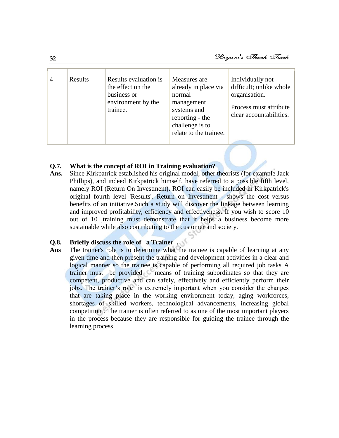| $\overline{4}$ | Results | Results evaluation is<br>the effect on the<br>business or<br>environment by the<br>trainee. | Measures are<br>already in place via<br>normal<br>management<br>systems and<br>reporting - the<br>challenge is to<br>relate to the trainee. | Individually not<br>difficult; unlike whole<br>organisation.<br>Process must attribute<br>clear accountabilities. |
|----------------|---------|---------------------------------------------------------------------------------------------|---------------------------------------------------------------------------------------------------------------------------------------------|-------------------------------------------------------------------------------------------------------------------|
|----------------|---------|---------------------------------------------------------------------------------------------|---------------------------------------------------------------------------------------------------------------------------------------------|-------------------------------------------------------------------------------------------------------------------|

# **Q.7. What is the concept of ROI in Training evaluation?**

**Ans.** Since Kirkpatrick established his original model, other theorists (for example Jack Phillips), and indeed Kirkpatrick himself, have referred to a possible fifth level, namely ROI (Return On Investment**).** ROI can easily be included in Kirkpatrick's original fourth level 'Results'. Return on Investment - shows the cost versus benefits of an initiative.Such a study will discover the linkage between learning and improved profitability, efficiency and effectiveness. If you wish to score 10 out of 10 ,training must demonstrate that it helps a business become more sustainable while also contributing to the customer and society.

# **Q.8. Briefly discuss the role of a Trainer .**

**Ans** The trainer's role is to determine what the trainee is capable of learning at any given time and then present the training and development activities in a clear and logical manner so the trainee is capable of performing all required job tasks A trainer must be provided means of training subordinates so that they are competent, productive and can safely, effectively and efficiently perform their jobs. The trainer's role is extremely important when you consider the changes that are taking place in the working environment today, aging workforces, shortages of skilled workers, technological advancements, increasing global competition . The trainer is often referred to as one of the most important players in the process because they are responsible for guiding the trainee through the learning process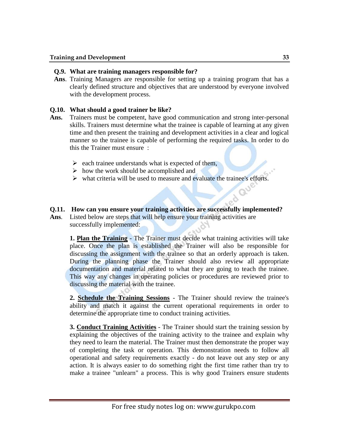# **Q.9. What are training managers responsible for?**

**Ans**. Training Managers are responsible for setting up a training program that has a clearly defined structure and objectives that are understood by everyone involved with the development process.

# **Q.10. What should a good trainer be like?**

- **Ans.** Trainers must be competent, have good communication and strong inter-personal skills. Trainers must determine what the trainee is capable of learning at any given time and then present the training and development activities in a clear and logical manner so the trainee is capable of performing the required tasks. In order to do this the Trainer must ensure :
	- $\triangleright$  each trainee understands what is expected of them,
	- $\triangleright$  how the work should be accomplished and
	- $\triangleright$  what criteria will be used to measure and evaluate the trainee's efforts.

# **Q.11. How can you ensure your training activities are successfully implemented?**

**Ans**. Listed below are steps that will help ensure your training activities are successfully implemented:

**1. Plan the Training** - The Trainer must decide what training activities will take place. Once the plan is established the Trainer will also be responsible for discussing the assignment with the trainee so that an orderly approach is taken. During the planning phase the Trainer should also review all appropriate documentation and material related to what they are going to teach the trainee. This way any changes in operating policies or procedures are reviewed prior to discussing the material with the trainee.

**2. Schedule the Training Sessions** - The Trainer should review the trainee's ability and match it against the current operational requirements in order to determine the appropriate time to conduct training activities.

**3. Conduct Training Activities** - The Trainer should start the training session by explaining the objectives of the training activity to the trainee and explain why they need to learn the material. The Trainer must then demonstrate the proper way of completing the task or operation. This demonstration needs to follow all operational and safety requirements exactly - do not leave out any step or any action. It is always easier to do something right the first time rather than try to make a trainee "unlearn" a process. This is why good Trainers ensure students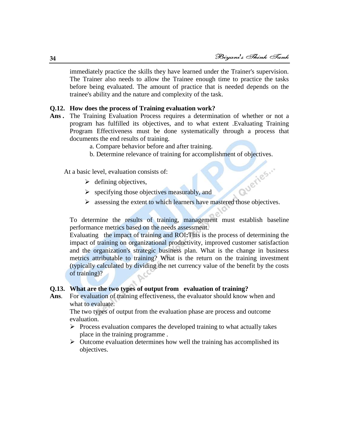immediately practice the skills they have learned under the Trainer's supervision. The Trainer also needs to allow the Trainee enough time to practice the tasks before being evaluated. The amount of practice that is needed depends on the trainee's ability and the nature and complexity of the task.

#### **Q.12. How does the process of Training evaluation work?**

- **Ans .** The Training Evaluation Process requires a determination of whether or not a program has fulfilled its objectives, and to what extent .Evaluating Training Program Effectiveness must be done systematically through a process that documents the end results of training.
	- a. Compare behavior before and after training.
	- b. Determine relevance of training for accomplishment of objectives.

At a basic level, evaluation consists of:

- $\triangleright$  defining objectives,
- $\triangleright$  specifying those objectives measurably, and
- $\triangleright$  specifying those objectives measurably, and<br> $\triangleright$  assessing the extent to which learners have mastered those objectives.

To determine the results of training, management must establish baseline performance metrics based on the needs assessment.

Evaluating the impact of training and ROI**:**This is the process of determining the impact of training on organizational productivity, improved customer satisfaction and the organization's strategic business plan. What is the change in business metrics attributable to training? What is the return on the training investment (typically calculated by dividing the net currency value of the benefit by the costs of training)?

# **Q.13. What are the two types of output from evaluation of training?**

**Ans**. For evaluation of training effectiveness, the evaluator should know when and what to evaluate.

The two types of output from the evaluation phase are process and outcome evaluation.

- $\triangleright$  Process evaluation compares the developed training to what actually takes place in the training programme .
- $\triangleright$  Outcome evaluation determines how well the training has accomplished its objectives.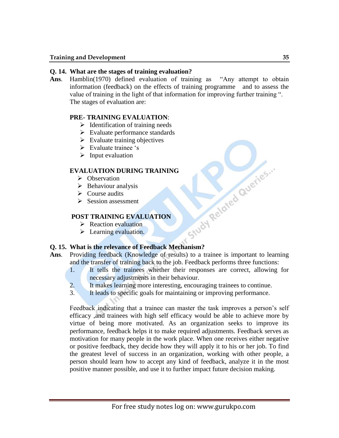# **Q. 14. What are the stages of training evaluation?**

Ans. Hamblin(1970) defined evaluation of training as "Any attempt to obtain information (feedback) on the effects of training programme and to assess the value of training in the light of that information for improving further training ". The stages of evaluation are:

# **PRE- TRAINING EVALUATION**:

- $\triangleright$  Identification of training needs
- $\triangleright$  Evaluate performance standards
- $\triangleright$  Evaluate training objectives
- $\triangleright$  Evaluate trainee 's
- $\triangleright$  Input evaluation

# **EVALUATION DURING TRAINING**

- $\triangleright$  Observation
- $\triangleright$  Behaviour analysis
- $\triangleright$  Course audits
- $\triangleright$  Session assessment

# **POST TRAINING EVALUATION**

- $\triangleright$  Reaction evaluation
- $\triangleright$  Learning evaluation.

# **CONSTRAINING EVALUATION**<br>
> Reaction evaluation<br>
> Learning evaluation.<br>
Q. 15. What is the relevance of Feedback Mechanism?

- **Ans**. Providing feedback (Knowledge of results) to a trainee is important to learning and the transfer of training back to the job. Feedback performs three functions:
	- 1. It tells the trainees whether their responses are correct, allowing for necessary adjustments in their behaviour.
	- 2. It makes learning more interesting, encouraging trainees to continue.
	- 3. It leads to specific goals for maintaining or improving performance.

Feedback indicating that a trainee can master the task improves a person's self efficacy ,and trainees with high self efficacy would be able to achieve more by virtue of being more motivated. As an organization seeks to improve its performance, feedback helps it to make required adjustments. Feedback serves as motivation for many people in the work place. When one receives either negative or positive feedback, they decide how they will apply it to his or her job. To find the greatest level of success in an organization, working with other people, a person should learn how to accept any kind of feedback, analyze it in the most positive manner possible, and use it to further impact future decision making.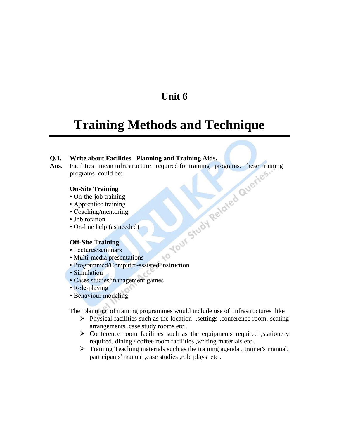# **Unit 6**

# **Training Methods and Technique**

**Q.1.** Write about Facilities Planning and Training Aids.<br> **Ans.** Facilities mean infrastructure required for training programs. These tran<br>
programs could be:<br> **On-Site Training**<br>
• Apprentice training<br>
• Apprentice train **Ans.** Facilities mean infrastructure required for training programs. These training programs could be:

# **On-Site Training**

- On-the-job training
- Apprentice training
- Coaching/mentoring
- Job rotation
- On-line help (as needed)

#### **Off-Site Training**

- Lectures/seminars
- Multi-media presentations
- $\sim$ • Programmed/Computer-assisted instruction
- Simulation
- Cases studies/management games
- Role-playing
- Behaviour modeling

The planning of training programmes would include use of infrastructures like

- $\triangleright$  Physical facilities such as the location , settings , conference room, seating arrangements ,case study rooms etc .
- $\triangleright$  Conference room facilities such as the equipments required , stationery required, dining / coffee room facilities ,writing materials etc .
- $\triangleright$  Training Teaching materials such as the training agenda, trainer's manual, participants' manual ,case studies ,role plays etc .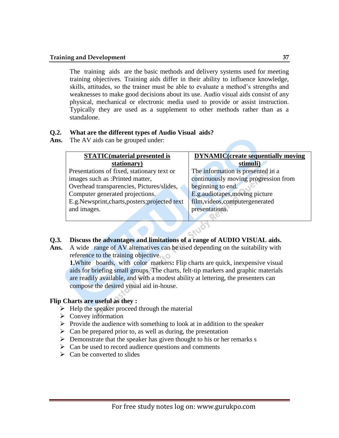# **Training and Development 37**

The training aids are the basic methods and delivery systems used for meeting training objectives. Training aids differ in their ability to influence knowledge, skills, attitudes, so the trainer must be able to evaluate a method's strengths and weaknesses to make good decisions about its use. Audio visual aids consist of any physical, mechanical or electronic media used to provide or assist instruction. Typically they are used as a supplement to other methods rather than as a standalone.

# **Q.2. What are the different types of Audio Visual aids?**

**Ans.** The AV aids can be grouped under:

| <b>STATIC</b> (material presented is            | <b>DYNAMIC</b> (create sequentially moving |  |
|-------------------------------------------------|--------------------------------------------|--|
| stationary)                                     | stimuli)                                   |  |
| Presentations of fixed, stationary text or      | The information is presented in a          |  |
| images such as : Printed matter,                | continuously moving progression from       |  |
| Overhead transparencies, Pictures/slides,       | beginning to end.                          |  |
| Computer generated projections.                 | E.g.audiotapes, moving picture             |  |
| E.g. Newsprint, charts, posters; projected text | film, videos, computergenerated            |  |
| and images.                                     | presentations.                             |  |
|                                                 |                                            |  |

# **Q.3. Discuss the advantages and limitations of a range of AUDIO VISUAL aids.**

**Ans.** A wide range of AV alternatives can be used depending on the suitability with reference to the training objective.

**1.**White boards, with color markers: Flip charts are quick, inexpensive visual aids for briefing small groups. The charts, felt-tip markers and graphic materials are readily available, and with a modest ability at lettering, the presenters can compose the desired visual aid in-house.

# **Flip Charts are useful as they :**

- $\triangleright$  Help the speaker proceed through the material
- $\triangleright$  Convey information
- $\triangleright$  Provide the audience with something to look at in addition to the speaker
- $\triangleright$  Can be prepared prior to, as well as during, the presentation
- $\triangleright$  Demonstrate that the speaker has given thought to his or her remarks s
- $\triangleright$  Can be used to record audience questions and comments
- $\triangleright$  Can be converted to slides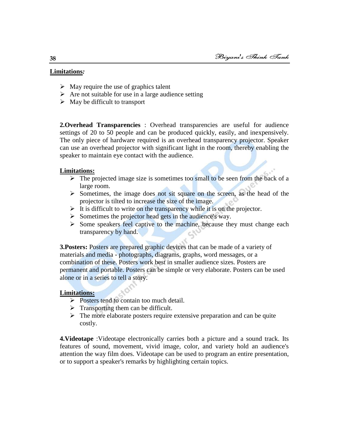# **Limitations***:*

- $\triangleright$  May require the use of graphics talent
- $\triangleright$  Are not suitable for use in a large audience setting
- $\triangleright$  May be difficult to transport

**2.Overhead Transparencies** : Overhead transparencies are useful for audience settings of 20 to 50 people and can be produced quickly, easily, and inexpensively. The only piece of hardware required is an overhead transparency projector. Speaker can use an overhead projector with significant light in the room, thereby enabling the speaker to maintain eye contact with the audience.

# **Limitations:**

- $\triangleright$  The projected image size is sometimes too small to be seen from the back of a large room.
- $\triangleright$  Sometimes, the image does not sit square on the screen, as the head of the projector is tilted to increase the size of the image.
- $\triangleright$  It is difficult to write on the transparency while it is on the projector.
- $\triangleright$  Sometimes the projector head gets in the audience's way.
- $\triangleright$  Some speakers feel captive to the machine, because they must change each transparency by hand.

**3. Posters:** Posters are prepared graphic devices that can be made of a variety of materials and media - photographs, diagrams, graphs, word messages, or a combination of these. Posters work best in smaller audience sizes. Posters are permanent and portable. Posters can be simple or very elaborate. Posters can be used alone or in a series to tell a story.

#### **Limitations:**

- Posters tend to contain too much detail.
- $\triangleright$  Transporting them can be difficult.
- $\triangleright$  The more elaborate posters require extensive preparation and can be quite costly.

**4.Videotape** :Videotape electronically carries both a picture and a sound track. Its features of sound, movement, vivid image, color, and variety hold an audience's attention the way film does. Videotape can be used to program an entire presentation, or to support a speaker's remarks by highlighting certain topics.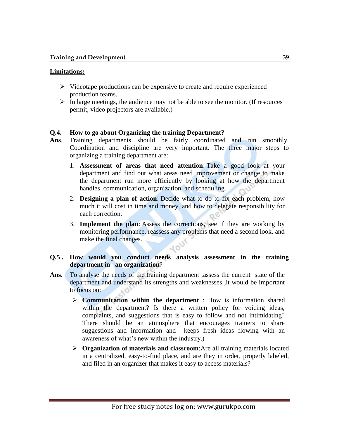# **Limitations:**

- $\triangleright$  Videotape productions can be expensive to create and require experienced production teams.
- $\triangleright$  In large meetings, the audience may not be able to see the monitor. (If resources permit, video projectors are available.)

# **Q.4. How to go about Organizing the training Department?**

- **Ans**. Training departments should be fairly coordinated and run smoothly. Coordination and discipline are very important. The three major steps to organizing a training department are:
	- 1. **Assessment of areas that need attention**: Take a good look at your department and find out what areas need improvement or change to make the department run more efficiently by looking at how the department handles communication, organization, and scheduling.
	- 2. **Designing a plan of action**: Decide what to do to fix each problem, how much it will cost in time and money, and how to delegate responsibility for each correction.
	- 3. **Implement the plan**: Assess the corrections, see if they are working by monitoring performance, reassess any problems that need a second look, and make the final changes.

# **Q.5 . How would you conduct needs analysis assessment in the training department in an organization**?

- Ans. To analyse the needs of the training department, assess the current state of the department and understand its strengths and weaknesses ,it would be important to focus on:
	- **Communication within the department** : How is information shared within the department? Is there a written policy for voicing ideas, complaints, and suggestions that is easy to follow and not intimidating? There should be an atmosphere that encourages trainers to share suggestions and information and keeps fresh ideas flowing with an awareness of what's new within the industry.)
	- **Organization of materials and classroom**:Are all training materials located in a centralized, easy-to-find place, and are they in order, properly labeled, and filed in an organizer that makes it easy to access materials?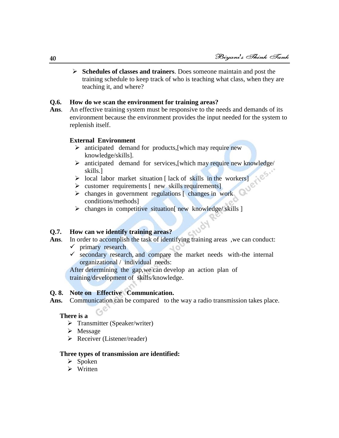**Schedules of classes and trainers**. Does someone maintain and post the training schedule to keep track of who is teaching what class, when they are teaching it, and where?

# **Q.6. How do we scan the environment for training areas?**

Ans. An effective training system must be responsive to the needs and demands of its environment because the environment provides the input needed for the system to replenish itself.

# **External Environment**

- $\triangleright$  anticipated demand for products, [which may require new knowledge/skills].
- $\triangleright$  anticipated demand for services, which may require new knowledge/ skills.]
- $\triangleright$  local labor market situation [ lack of skills in the workers]
- $\triangleright$  customer requirements  $\lceil$  new skills requirements $\lceil$
- $\triangleright$  changes in government regulations  $\lceil$  changes in work conditions/methods]
- $\triangleright$  changes in competitive situation new knowledge/ skills ]

# **Q.7. How can we identify training areas?**

- Ans. In order to accomplish the task of identifying training areas , we can conduct:
	- $\checkmark$  primary research
	- $\checkmark$  secondary research, and compare the market needs with-the internal organizational / individual needs:

After determining the gap,we can develop an action plan of training/development of skills/knowledge.

# **Q. 8. Note on Effective Communication.**

Ans. Communication can be compared to the way a radio transmission takes place.

# **There is a**

- $\triangleright$  Transmitter (Speaker/writer)
- > Message
- $\triangleright$  Receiver (Listener/reader)

# **Three types of transmission are identified:**

- $\triangleright$  Spoken
- $\triangleright$  Written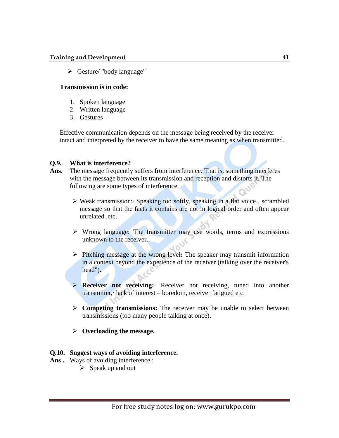#### **Training and Development 41**

 $\triangleright$  Gesture/ "body language"

# **Transmission is in code:**

- 1. Spoken language
- 2. Written language
- 3. Gestures

Effective communication depends on the message being received by the receiver intact and interpreted by the receiver to have the same meaning as when transmitted.

# **Q.9. What is interference?**

- **Ans.** The message frequently suffers from interference. That is, something interferes with the message between its transmission and reception and distorts it. The following are some types of interference.
	- $\triangleright$  Weak transmission: Speaking too softly, speaking in a flat voice, scrambled message so that the facts it contains are not in logical order and often appear unrelated ,etc.
	- $\triangleright$  Wrong language: The transmitter may use words, terms and expressions unknown to the receiver.
	- Pitching message at the wrong level**:** The speaker may transmit information in a context beyond the experience of the receiver (talking over the receiver's head").
	- **Receiver not receiving:**· Receiver not receiving, tuned into another transmitter,· lack of interest – boredom, receiver fatigued etc.
	- **Competing transmissions:** The receiver may be unable to select between transmissions (too many people talking at once).
	- **Overloading the message.**

# **Q.10. Suggest ways of avoiding interference.**

- Ans. Ways of avoiding interference :
	- $\triangleright$  Speak up and out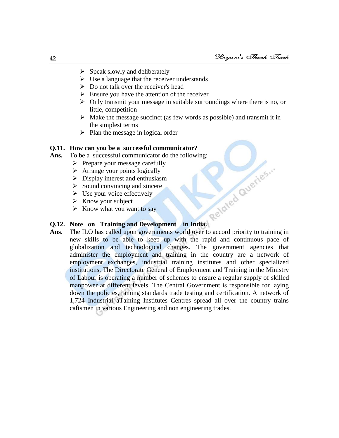- $\triangleright$  Speak slowly and deliberately
- $\triangleright$  Use a language that the receiver understands
- $\triangleright$  Do not talk over the receiver's head
- $\triangleright$  Ensure you have the attention of the receiver
- $\triangleright$  Only transmit your message in suitable surroundings where there is no, or little, competition
- $\triangleright$  Make the message succinct (as few words as possible) and transmit it in the simplest terms
- $\triangleright$  Plan the message in logical order

# **Q.11. How can you be a successful communicator?**

- Ans. To be a successful communicator do the following:<br>  $\triangleright$  Prepare your message carefully<br>  $\triangleright$  Arrange your points logically<br>  $\triangleright$  Display interest and enthusiasm<br>  $\triangleright$  Sound convincing and sincere<br>  $\triangleright$  Use
	- $\triangleright$  Prepare your message carefully
	- $\triangleright$  Arrange your points logically
	- $\triangleright$  Display interest and enthusiasm
	- $\triangleright$  Sound convincing and sincere
	- $\triangleright$  Use your voice effectively
	- $\triangleright$  Know your subject
	- $\triangleright$  Know what you want to say

# **Q.12. Note on Training and Development in India.**

Ans. The ILO has called upon governments world over to accord priority to training in new skills to be able to keep up with the rapid and continuous pace of globalization and technological changes. The government agencies that administer the employment and training in the country are a network of employment exchanges, industrial training institutes and other specialized institutions. The Directorate General of Employment and Training in the Ministry of Labour is operating a number of schemes to ensure a regular supply of skilled manpower at different levels. The Central Government is responsible for laying down the policies,training standards trade testing and certification. A network of 1,724 Industrial aTaining Institutes Centres spread all over the country trains caftsmen in various Engineering and non engineering trades.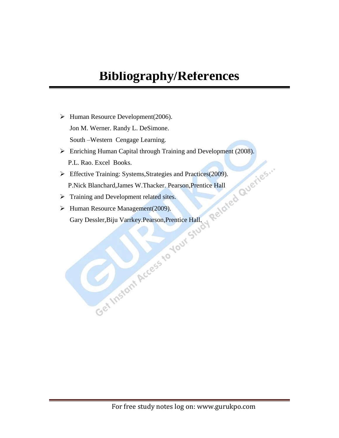# **Bibliography/References**

- $\blacktriangleright$  Human Resource Development(2006). Jon M. Werner. Randy L. DeSimone. South –Western Cengage Learning.
- Enriching Human Capital through Training and Development (2008). P.L. Rao. Excel Books.
- **Effective Training: Systems, Strategies and Practices(2009).** P.Nick Blanchard,James W.Thacker. Pearson,Prentice Hall
- > Training and Development related sites.
- ▶ Human Resource Management(2009). Gary Dessler,Biju Varrkey.Pearson,Prentice Hall.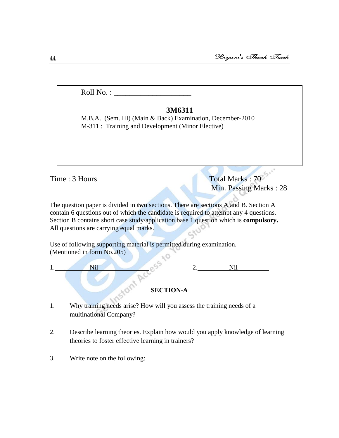Roll No. : \_\_\_\_\_\_\_\_\_\_\_\_\_\_\_\_\_\_\_\_

# **3M6311**

M.B.A. (Sem. III) (Main & Back) Examination, December-2010 M-311 : Training and Development (Minor Elective)

Time : 3 Hours Total Marks : 70 Min. Passing Marks : 28

The question paper is divided in **two** sections. There are sections A and B. Section A contain 6 questions out of which the candidate is required to attempt any 4 questions. Section B contains short case study/application base 1 question which is **compulsory.** All questions are carrying equal marks.

Use of following supporting material is permitted during examination. (Mentioned in form No.205) ηO

| л | <b>ATM</b><br>. |                  | * *** |  |
|---|-----------------|------------------|-------|--|
|   |                 |                  |       |  |
|   |                 | <b>SECTION-A</b> |       |  |

- 1. Why training needs arise? How will you assess the training needs of a multinational Company?
- 2. Describe learning theories. Explain how would you apply knowledge of learning theories to foster effective learning in trainers?
- 3. Write note on the following: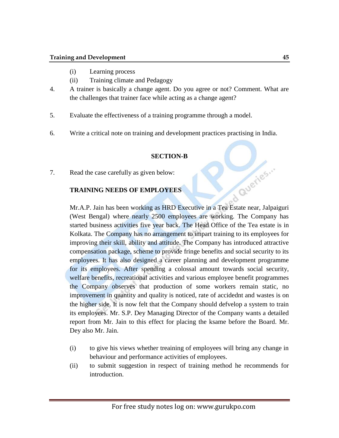- (i) Learning process
- (ii) Training climate and Pedagogy
- 4. A trainer is basically a change agent. Do you agree or not? Comment. What are the challenges that trainer face while acting as a change agent?
- 5. Evaluate the effectiveness of a training programme through a model.
- 6. Write a critical note on training and development practices practising in India.

# **SECTION-B**

7. Read the case carefully as given below:

# **TRAINING NEEDS OF EMPLOYEES**

TRAINING NEEDS OF EMPLOYEES<br>Mr.A.P. Jain has been working as HRD Executive in a Tea Estate near, Jalpaiguri (West Bengal) where nearly 2500 employees are working. The Company has started business activities five year back. The Head Office of the Tea estate is in Kolkata. The Company has no arrangement to impart training to its employees for improving their skill, ability and attitude. The Company has introduced attractive compensation package, scheme to provide fringe benefits and social security to its employees. It has also designed a career planning and development programme for its employees. After spending a colossal amount towards social security, welfare benefits, recreational activities and various employee benefit programmes the Company observes that production of some workers remain static, no improvement in quantity and quality is noticed, rate of accidednt and wastes is on the higher side. It is now felt that the Company should defvelop a system to train its employees. Mr. S.P. Dey Managing Director of the Company wants a detailed report from Mr. Jain to this effect for placing the ksame before the Board. Mr. Dey also Mr. Jain.

- (i) to give his views whether treaining of employees will bring any change in behaviour and performance activities of employees.
- (ii) to submit suggestion in respect of training method he recommends for introduction.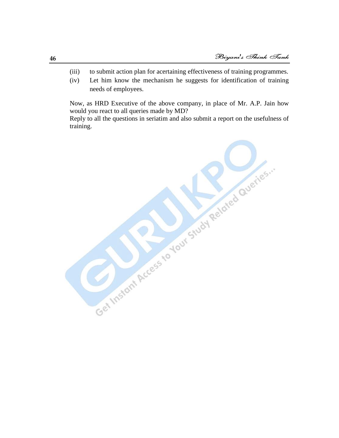- (iii) to submit action plan for acertaining effectiveness of training programmes.
- (iv) Let him know the mechanism he suggests for identification of training needs of employees.

Now, as HRD Executive of the above company, in place of Mr. A.P. Jain how would you react to all queries made by MD?

Reply to all the questions in seriatim and also submit a report on the usefulness of training.

Get Instant Access to Your Study Related Queries ...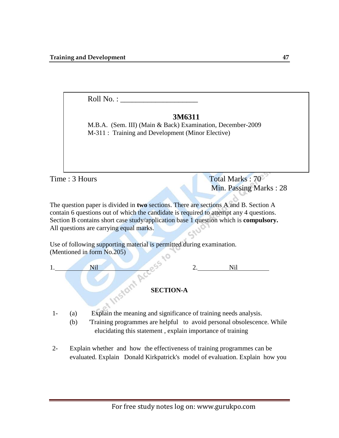Roll No. :  $\Box$ 

# **3M6311**

M-311 : Training and Development (Minor Elective) M.B.A. (Sem. III) (Main & Back) Examination, December-2009

Time : 3 Hours Total Marks : 70

Min. Passing Marks : 28

The question paper is divided in **two** sections. There are sections A and B. Section A contain 6 questions out of which the candidate is required to attempt any 4 questions. Section B contains short case study/application base 1 question which is **compulsory.** All questions are carrying equal marks.

Use of following supporting material is permitted during examination. (Mentioned in form No.205)



1- (a) Explain the meaning and significance of training needs analysis.

- (b) 'Training programmes are helpful to avoid personal obsolescence. While elucidating this statement , explain importance of training
- 2- Explain whether and how the effectiveness of training programmes can be evaluated. Explain Donald Kirkpatrick's model of evaluation. Explain how you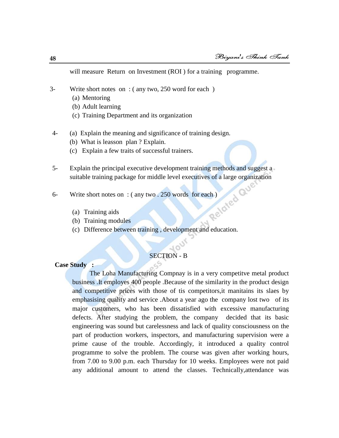will measure Return on Investment (ROI) for a training programme.

- 3- Write short notes on : ( any two, 250 word for each )
	- (a) Mentoring
	- (b) Adult learning
	- (c) Training Department and its organization
- 4- (a) Explain the meaning and significance of training design.
	- (b) What is leasson plan ? Explain.
	- (c) Explain a few traits of successful trainers.
- 5- Explain the principal executive development training methods and suggest a suitable training package for middle level executives of a large organization<br>Write short notes on : (any two . 250 words for each)<br>(a) Training aids<br>(b) Training
- 6- Write short notes on : ( any two . 250 words for each )
	- (a) Training aids
	- (b) Training modules
	- (c) Difference between training , development and education.

# SECTION - B

# **Case Study :**

The Loha Manufacturing Compnay is in a very competitve metal product business .It employes 400 people .Because of the similarity in the product design and competitive prices with those of tis competitors,it manitains its slaes by emphasising quality and service .About a year ago the company lost two of its major customers, who has been dissatisfied with excessive manufacturing defects. After studying the problem, the company decided that its basic engineering was sound but carelessness and lack of quality consciousness on the part of production workers, inspectors, and manufacturing supervision were a prime cause of the trouble. Accordingly, it introduced a quality control programme to solve the problem. The course was given after working hours, from 7.00 to 9.00 p.m. each Thursday for 10 weeks. Employees were not paid any additional amount to attend the classes. Technically,attendance was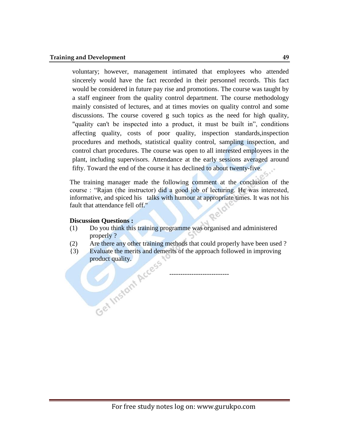voluntary; however, management intimated that employees who attended sincerely would have the fact recorded in their personnel records. This fact would be considered in future pay rise and promotions. The course was taught by a staff engineer from the quality control department. The course methodology mainly consisted of lectures, and at times movies on quality control and some discussions. The course covered g such topics as the need for high quality, "quality can't be inspected into a product, it must be built in", conditions affecting quality, costs of poor quality, inspection standards,inspection procedures and methods, statistical quality control, sampling inspection, and control chart procedures. The course was open to all interested employees in the plant, including supervisors. Attendance at the early sessions averaged around fifty. Toward the end of the course it has declined to about twenty-five.

The training manager made the following comment at the conclusion of the course : "Rajan (the instructor) did a good job of lecturing. He was interested, informative, and spiced his talks with humour at appropriate times. It was not his fault that attendance fell off."

#### **Discussion Questions :**

- (1) Do you think this training programme was organised and administered properly ?
- (2) Are there any other training methods that could properly have been used ?
- {3) Evaluate the merits and demerits of the approach followed in improving product quality.

---------------------------

 $\overline{\mathcal{O}}$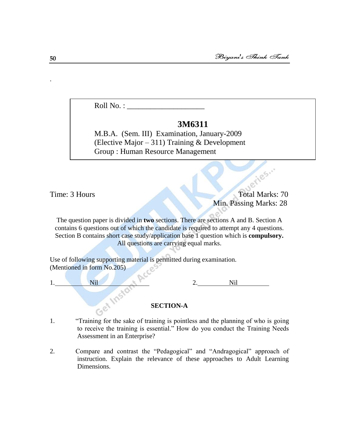Roll No. :  $\_\_$ 

# **3M6311**

M.B.A. (Sem. III) Examination, January-2009 (Elective Major – 311) Training & Development Group : Human Resource Management

Time: 3 Hours Total Marks: 70 Min. Passing Marks: 28

ueries...

The question paper is divided in **two** sections. There are sections A and B. Section A contains 6 questions out of which the candidate is required to attempt any 4 questions. Section B contains short case study/application base 1 question which is **compulsory.** All questions are carrying equal marks.

Use of following supporting material is permitted during examination. (Mentioned in form No.205)



# **SECTION-A**

- 1. ―Training for the sake of training is pointless and the planning of who is going to receive the training is essential." How do you conduct the Training Needs Assessment in an Enterprise?
- 2. Compare and contrast the "Pedagogical" and "Andragogical" approach of instruction. Explain the relevance of these approaches to Adult Learning Dimensions.

.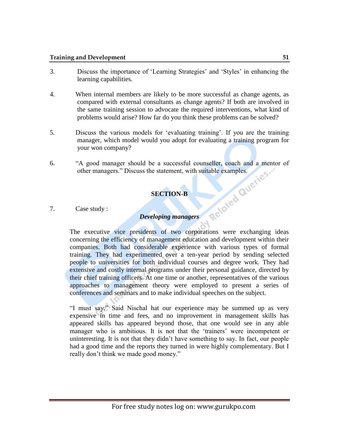#### **Training and Development** 51

- 3. Discuss the importance of ‗Learning Strategies' and ‗Styles' in enhancing the learning capabilities.
- 4. When internal members are likely to be more successful as change agents, as compared with external consultants as change agents? If both are involved in the same training session to advocate the required interventions, what kind of problems would arise? How far do you think these problems can be solved?
- 5. Discuss the various models for ‗evaluating training'. If you are the training manager, which model would you adopt for evaluating a training program for your won company?
- 6. "A good manager should be a successful counseller, coach and a mentor of other managers." Discuss the statement, with suitable examples.<br>SECTION-B<br>7. Case study : other managers." Discuss the statement, with suitable examples.

# **SECTION-B**

7. Case study :

# *Developing managers*

The executive vice presidents of two corporations were exchanging ideas concerning the efficiency of management education and development within their companies. Both had considerable experience with various types of formal training. They had experimented over a ten-year period by sending selected people to universities for both individual courses and degree work. They had extensive and costly internal programs under their personal guidance, directed by their chief training officers. At one time or another, representatives of the various approaches to management theory were employed to present a series of conferences and seminars and to make individual speeches on the subject.

"I must say." Said Nischal hat our experience may be summed up as very expensive in time and fees, and no improvement in management skills has appeared skills has appeared beyond those, that one would see in any able manager who is ambitious. It is not that the 'trainers' were incompetent or uninteresting. It is not that they didn't have something to say. In fact, our people had a good time and the reports they turned in were highly complementary. But I really don't think we made good money."